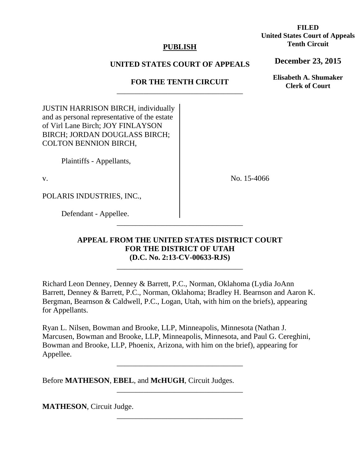# **PUBLISH**

# **UNITED STATES COURT OF APPEALS**

# **FOR THE TENTH CIRCUIT**  \_\_\_\_\_\_\_\_\_\_\_\_\_\_\_\_\_\_\_\_\_\_\_\_\_\_\_\_\_\_\_\_\_

JUSTIN HARRISON BIRCH, individually and as personal representative of the estate of Virl Lane Birch; JOY FINLAYSON BIRCH; JORDAN DOUGLASS BIRCH; COLTON BENNION BIRCH,

Plaintiffs - Appellants,

v.

No. 15-4066

POLARIS INDUSTRIES, INC.,

Defendant - Appellee.

# **APPEAL FROM THE UNITED STATES DISTRICT COURT FOR THE DISTRICT OF UTAH (D.C. No. 2:13-CV-00633-RJS)**

\_\_\_\_\_\_\_\_\_\_\_\_\_\_\_\_\_\_\_\_\_\_\_\_\_\_\_\_\_\_\_\_\_

\_\_\_\_\_\_\_\_\_\_\_\_\_\_\_\_\_\_\_\_\_\_\_\_\_\_\_\_\_\_\_\_\_

Richard Leon Denney, Denney & Barrett, P.C., Norman, Oklahoma (Lydia JoAnn Barrett, Denney & Barrett, P.C., Norman, Oklahoma; Bradley H. Bearnson and Aaron K. Bergman, Bearnson & Caldwell, P.C., Logan, Utah, with him on the briefs), appearing for Appellants.

Ryan L. Nilsen, Bowman and Brooke, LLP, Minneapolis, Minnesota (Nathan J. Marcusen, Bowman and Brooke, LLP, Minneapolis, Minnesota, and Paul G. Cereghini, Bowman and Brooke, LLP, Phoenix, Arizona, with him on the brief), appearing for Appellee.

\_\_\_\_\_\_\_\_\_\_\_\_\_\_\_\_\_\_\_\_\_\_\_\_\_\_\_\_\_\_\_\_\_

\_\_\_\_\_\_\_\_\_\_\_\_\_\_\_\_\_\_\_\_\_\_\_\_\_\_\_\_\_\_\_\_\_

\_\_\_\_\_\_\_\_\_\_\_\_\_\_\_\_\_\_\_\_\_\_\_\_\_\_\_\_\_\_\_\_\_

Before **MATHESON**, **EBEL**, and **McHUGH**, Circuit Judges.

**MATHESON**, Circuit Judge.

**FILED United States Court of Appeals Tenth Circuit** 

**December 23, 2015**

**Elisabeth A. Shumaker Clerk of Court**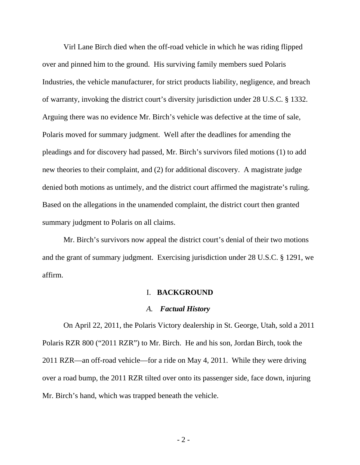Virl Lane Birch died when the off-road vehicle in which he was riding flipped over and pinned him to the ground. His surviving family members sued Polaris Industries, the vehicle manufacturer, for strict products liability, negligence, and breach of warranty, invoking the district court's diversity jurisdiction under 28 U.S.C. § 1332. Arguing there was no evidence Mr. Birch's vehicle was defective at the time of sale, Polaris moved for summary judgment. Well after the deadlines for amending the pleadings and for discovery had passed, Mr. Birch's survivors filed motions (1) to add new theories to their complaint, and (2) for additional discovery. A magistrate judge denied both motions as untimely, and the district court affirmed the magistrate's ruling. Based on the allegations in the unamended complaint, the district court then granted summary judgment to Polaris on all claims.

Mr. Birch's survivors now appeal the district court's denial of their two motions and the grant of summary judgment. Exercising jurisdiction under 28 U.S.C. § 1291, we affirm.

#### I. **BACKGROUND**

#### *A. Factual History*

On April 22, 2011, the Polaris Victory dealership in St. George, Utah, sold a 2011 Polaris RZR 800 ("2011 RZR") to Mr. Birch. He and his son, Jordan Birch, took the 2011 RZR—an off-road vehicle—for a ride on May 4, 2011. While they were driving over a road bump, the 2011 RZR tilted over onto its passenger side, face down, injuring Mr. Birch's hand, which was trapped beneath the vehicle.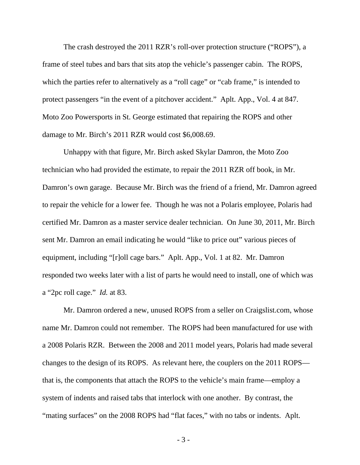The crash destroyed the 2011 RZR's roll-over protection structure ("ROPS"), a frame of steel tubes and bars that sits atop the vehicle's passenger cabin. The ROPS, which the parties refer to alternatively as a "roll cage" or "cab frame," is intended to protect passengers "in the event of a pitchover accident." Aplt. App., Vol. 4 at 847. Moto Zoo Powersports in St. George estimated that repairing the ROPS and other damage to Mr. Birch's 2011 RZR would cost \$6,008.69.

Unhappy with that figure, Mr. Birch asked Skylar Damron, the Moto Zoo technician who had provided the estimate, to repair the 2011 RZR off book, in Mr. Damron's own garage. Because Mr. Birch was the friend of a friend, Mr. Damron agreed to repair the vehicle for a lower fee. Though he was not a Polaris employee, Polaris had certified Mr. Damron as a master service dealer technician. On June 30, 2011, Mr. Birch sent Mr. Damron an email indicating he would "like to price out" various pieces of equipment, including "[r]oll cage bars." Aplt. App., Vol. 1 at 82. Mr. Damron responded two weeks later with a list of parts he would need to install, one of which was a "2pc roll cage." *Id.* at 83.

Mr. Damron ordered a new, unused ROPS from a seller on Craigslist.com, whose name Mr. Damron could not remember. The ROPS had been manufactured for use with a 2008 Polaris RZR. Between the 2008 and 2011 model years, Polaris had made several changes to the design of its ROPS. As relevant here, the couplers on the 2011 ROPS that is, the components that attach the ROPS to the vehicle's main frame—employ a system of indents and raised tabs that interlock with one another. By contrast, the "mating surfaces" on the 2008 ROPS had "flat faces," with no tabs or indents. Aplt.

- 3 -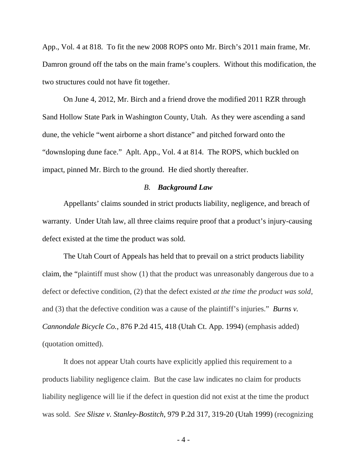App., Vol. 4 at 818. To fit the new 2008 ROPS onto Mr. Birch's 2011 main frame, Mr. Damron ground off the tabs on the main frame's couplers. Without this modification, the two structures could not have fit together.

On June 4, 2012, Mr. Birch and a friend drove the modified 2011 RZR through Sand Hollow State Park in Washington County, Utah. As they were ascending a sand dune, the vehicle "went airborne a short distance" and pitched forward onto the "downsloping dune face." Aplt. App., Vol. 4 at 814. The ROPS, which buckled on impact, pinned Mr. Birch to the ground. He died shortly thereafter.

## *B. Background Law*

Appellants' claims sounded in strict products liability, negligence, and breach of warranty. Under Utah law, all three claims require proof that a product's injury-causing defect existed at the time the product was sold.

The Utah Court of Appeals has held that to prevail on a strict products liability claim, the "plaintiff must show (1) that the product was unreasonably dangerous due to a defect or defective condition, (2) that the defect existed *at the time the product was sold*, and (3) that the defective condition was a cause of the plaintiff's injuries." *Burns v. Cannondale Bicycle Co.*, 876 P.2d 415, 418 (Utah Ct. App. 1994) (emphasis added) (quotation omitted).

It does not appear Utah courts have explicitly applied this requirement to a products liability negligence claim. But the case law indicates no claim for products liability negligence will lie if the defect in question did not exist at the time the product was sold. *See Slisze v. Stanley-Bostitch*, 979 P.2d 317, 319-20 (Utah 1999) (recognizing

- 4 -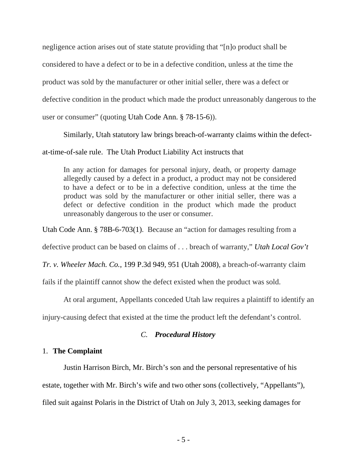negligence action arises out of state statute providing that "[n]o product shall be considered to have a defect or to be in a defective condition, unless at the time the product was sold by the manufacturer or other initial seller, there was a defect or defective condition in the product which made the product unreasonably dangerous to the user or consumer" (quoting Utah Code Ann. § 78-15-6)).

Similarly, Utah statutory law brings breach-of-warranty claims within the defect-

at-time-of-sale rule. The Utah Product Liability Act instructs that

In any action for damages for personal injury, death, or property damage allegedly caused by a defect in a product*,* a product may not be considered to have a defect or to be in a defective condition, unless at the time the product was sold by the manufacturer or other initial seller, there was a defect or defective condition in the product which made the product unreasonably dangerous to the user or consumer.

Utah Code Ann. § 78B-6-703(1). Because an "action for damages resulting from a

defective product can be based on claims of . . . breach of warranty," *Utah Local Gov't* 

*Tr. v. Wheeler Mach. Co.*, 199 P.3d 949, 951 (Utah 2008), a breach-of-warranty claim

fails if the plaintiff cannot show the defect existed when the product was sold.

At oral argument, Appellants conceded Utah law requires a plaintiff to identify an

injury-causing defect that existed at the time the product left the defendant's control.

# *C. Procedural History*

## 1. **The Complaint**

Justin Harrison Birch, Mr. Birch's son and the personal representative of his

estate, together with Mr. Birch's wife and two other sons (collectively, "Appellants"),

filed suit against Polaris in the District of Utah on July 3, 2013, seeking damages for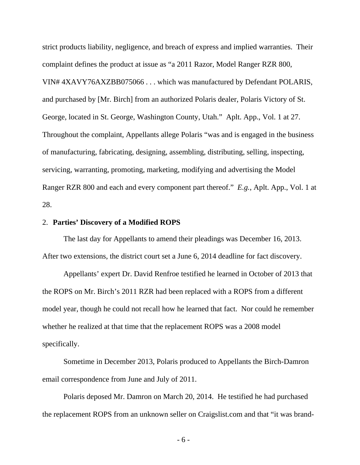strict products liability, negligence, and breach of express and implied warranties. Their complaint defines the product at issue as "a 2011 Razor, Model Ranger RZR 800, VIN# 4XAVY76AXZBB075066 . . . which was manufactured by Defendant POLARIS, and purchased by [Mr. Birch] from an authorized Polaris dealer, Polaris Victory of St. George, located in St. George, Washington County, Utah." Aplt. App., Vol. 1 at 27. Throughout the complaint, Appellants allege Polaris "was and is engaged in the business of manufacturing, fabricating, designing, assembling, distributing, selling, inspecting, servicing, warranting, promoting, marketing, modifying and advertising the Model Ranger RZR 800 and each and every component part thereof." *E.g.*, Aplt. App., Vol. 1 at 28.

### 2. **Parties' Discovery of a Modified ROPS**

The last day for Appellants to amend their pleadings was December 16, 2013. After two extensions, the district court set a June 6, 2014 deadline for fact discovery.

Appellants' expert Dr. David Renfroe testified he learned in October of 2013 that the ROPS on Mr. Birch's 2011 RZR had been replaced with a ROPS from a different model year, though he could not recall how he learned that fact. Nor could he remember whether he realized at that time that the replacement ROPS was a 2008 model specifically.

Sometime in December 2013, Polaris produced to Appellants the Birch-Damron email correspondence from June and July of 2011.

Polaris deposed Mr. Damron on March 20, 2014. He testified he had purchased the replacement ROPS from an unknown seller on Craigslist.com and that "it was brand-

- 6 -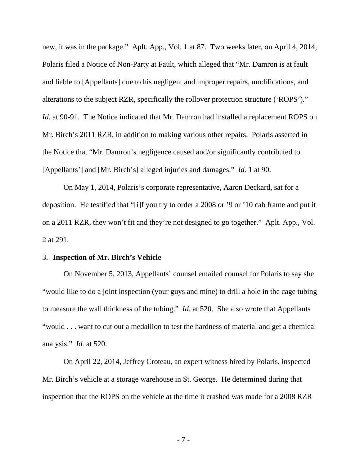new, it was in the package." Aplt. App., Vol. 1 at 87. Two weeks later, on April 4, 2014, Polaris filed a Notice of Non-Party at Fault, which alleged that "Mr. Damron is at fault and liable to [Appellants] due to his negligent and improper repairs, modifications, and alterations to the subject RZR, specifically the rollover protection structure ('ROPS')." *Id.* at 90-91. The Notice indicated that Mr. Damron had installed a replacement ROPS on Mr. Birch's 2011 RZR, in addition to making various other repairs. Polaris asserted in the Notice that "Mr. Damron's negligence caused and/or significantly contributed to [Appellants'] and [Mr. Birch's] alleged injuries and damages." *Id.* 1 at 90.

On May 1, 2014, Polaris's corporate representative, Aaron Deckard, sat for a deposition. He testified that "[i]f you try to order a 2008 or '9 or '10 cab frame and put it on a 2011 RZR, they won't fit and they're not designed to go together." Aplt. App., Vol. 2 at 291.

#### 3. **Inspection of Mr. Birch's Vehicle**

On November 5, 2013, Appellants' counsel emailed counsel for Polaris to say she "would like to do a joint inspection (your guys and mine) to drill a hole in the cage tubing to measure the wall thickness of the tubing." *Id.* at 520. She also wrote that Appellants "would . . . want to cut out a medallion to test the hardness of material and get a chemical analysis." *Id.* at 520.

On April 22, 2014, Jeffrey Croteau, an expert witness hired by Polaris, inspected Mr. Birch's vehicle at a storage warehouse in St. George. He determined during that inspection that the ROPS on the vehicle at the time it crashed was made for a 2008 RZR

- 7 -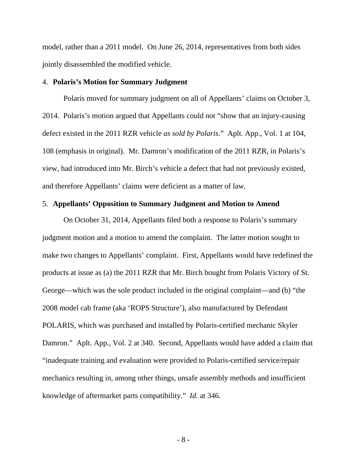model, rather than a 2011 model. On June 26, 2014, representatives from both sides jointly disassembled the modified vehicle.

## 4. **Polaris's Motion for Summary Judgment**

Polaris moved for summary judgment on all of Appellants' claims on October 3, 2014. Polaris's motion argued that Appellants could not "show that an injury-causing defect existed in the 2011 RZR vehicle *as sold by Polaris*." Aplt. App., Vol. 1 at 104, 108 (emphasis in original). Mr. Damron's modification of the 2011 RZR, in Polaris's view, had introduced into Mr. Birch's vehicle a defect that had not previously existed, and therefore Appellants' claims were deficient as a matter of law.

# 5. **Appellants' Opposition to Summary Judgment and Motion to Amend**

On October 31, 2014, Appellants filed both a response to Polaris's summary judgment motion and a motion to amend the complaint. The latter motion sought to make two changes to Appellants' complaint. First, Appellants would have redefined the products at issue as (a) the 2011 RZR that Mr. Birch bought from Polaris Victory of St. George—which was the sole product included in the original complaint—and (b) "the 2008 model cab frame (aka 'ROPS Structure'), also manufactured by Defendant POLARIS, which was purchased and installed by Polaris-certified mechanic Skyler Damron." Aplt. App., Vol. 2 at 340. Second, Appellants would have added a claim that "inadequate training and evaluation were provided to Polaris-certified service/repair mechanics resulting in, among other things, unsafe assembly methods and insufficient knowledge of aftermarket parts compatibility." *Id.* at 346.

- 8 -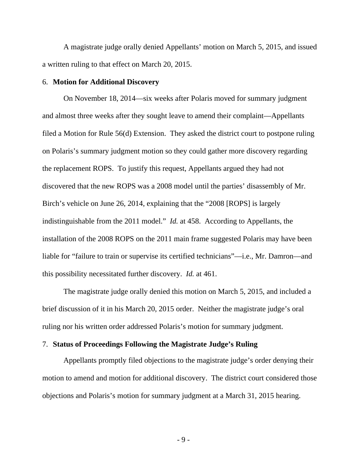A magistrate judge orally denied Appellants' motion on March 5, 2015, and issued a written ruling to that effect on March 20, 2015.

### 6. **Motion for Additional Discovery**

On November 18, 2014—six weeks after Polaris moved for summary judgment and almost three weeks after they sought leave to amend their complaint—Appellants filed a Motion for Rule 56(d) Extension. They asked the district court to postpone ruling on Polaris's summary judgment motion so they could gather more discovery regarding the replacement ROPS. To justify this request, Appellants argued they had not discovered that the new ROPS was a 2008 model until the parties' disassembly of Mr. Birch's vehicle on June 26, 2014, explaining that the "2008 [ROPS] is largely indistinguishable from the 2011 model." *Id.* at 458. According to Appellants, the installation of the 2008 ROPS on the 2011 main frame suggested Polaris may have been liable for "failure to train or supervise its certified technicians"—i.e., Mr. Damron—and this possibility necessitated further discovery. *Id.* at 461.

The magistrate judge orally denied this motion on March 5, 2015, and included a brief discussion of it in his March 20, 2015 order. Neither the magistrate judge's oral ruling nor his written order addressed Polaris's motion for summary judgment.

## 7. **Status of Proceedings Following the Magistrate Judge's Ruling**

Appellants promptly filed objections to the magistrate judge's order denying their motion to amend and motion for additional discovery. The district court considered those objections and Polaris's motion for summary judgment at a March 31, 2015 hearing.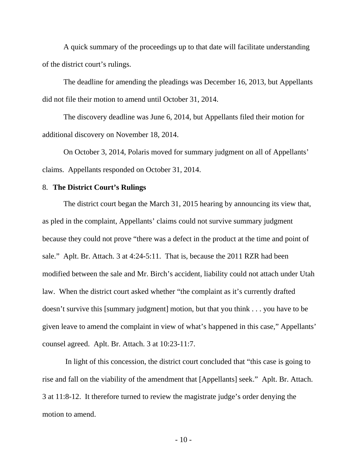A quick summary of the proceedings up to that date will facilitate understanding of the district court's rulings.

The deadline for amending the pleadings was December 16, 2013, but Appellants did not file their motion to amend until October 31, 2014.

The discovery deadline was June 6, 2014, but Appellants filed their motion for additional discovery on November 18, 2014.

On October 3, 2014, Polaris moved for summary judgment on all of Appellants' claims. Appellants responded on October 31, 2014.

## 8. **The District Court's Rulings**

The district court began the March 31, 2015 hearing by announcing its view that, as pled in the complaint, Appellants' claims could not survive summary judgment because they could not prove "there was a defect in the product at the time and point of sale." Aplt. Br. Attach. 3 at 4:24-5:11. That is, because the 2011 RZR had been modified between the sale and Mr. Birch's accident, liability could not attach under Utah law. When the district court asked whether "the complaint as it's currently drafted doesn't survive this [summary judgment] motion, but that you think . . . you have to be given leave to amend the complaint in view of what's happened in this case," Appellants' counsel agreed. Aplt. Br. Attach. 3 at 10:23-11:7.

 In light of this concession, the district court concluded that "this case is going to rise and fall on the viability of the amendment that [Appellants] seek." Aplt. Br. Attach. 3 at 11:8-12. It therefore turned to review the magistrate judge's order denying the motion to amend.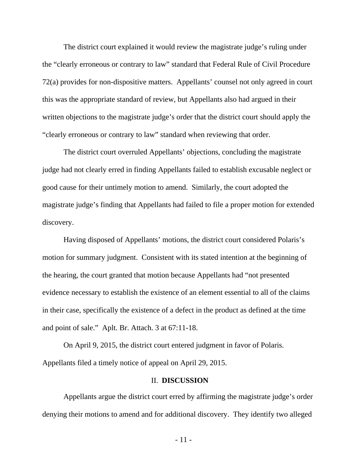The district court explained it would review the magistrate judge's ruling under the "clearly erroneous or contrary to law" standard that Federal Rule of Civil Procedure 72(a) provides for non-dispositive matters. Appellants' counsel not only agreed in court this was the appropriate standard of review, but Appellants also had argued in their written objections to the magistrate judge's order that the district court should apply the "clearly erroneous or contrary to law" standard when reviewing that order.

The district court overruled Appellants' objections, concluding the magistrate judge had not clearly erred in finding Appellants failed to establish excusable neglect or good cause for their untimely motion to amend. Similarly, the court adopted the magistrate judge's finding that Appellants had failed to file a proper motion for extended discovery.

Having disposed of Appellants' motions, the district court considered Polaris's motion for summary judgment. Consistent with its stated intention at the beginning of the hearing, the court granted that motion because Appellants had "not presented evidence necessary to establish the existence of an element essential to all of the claims in their case, specifically the existence of a defect in the product as defined at the time and point of sale." Aplt. Br. Attach. 3 at 67:11-18.

On April 9, 2015, the district court entered judgment in favor of Polaris. Appellants filed a timely notice of appeal on April 29, 2015.

### II. **DISCUSSION**

Appellants argue the district court erred by affirming the magistrate judge's order denying their motions to amend and for additional discovery. They identify two alleged

- 11 -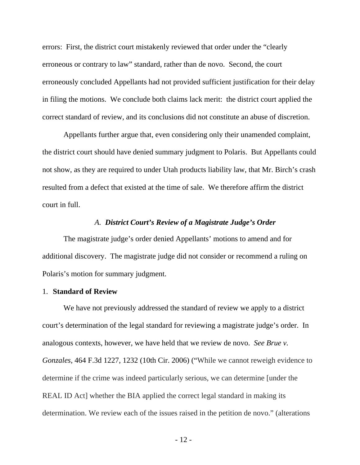errors: First, the district court mistakenly reviewed that order under the "clearly erroneous or contrary to law" standard, rather than de novo. Second, the court erroneously concluded Appellants had not provided sufficient justification for their delay in filing the motions. We conclude both claims lack merit: the district court applied the correct standard of review, and its conclusions did not constitute an abuse of discretion.

Appellants further argue that, even considering only their unamended complaint, the district court should have denied summary judgment to Polaris. But Appellants could not show, as they are required to under Utah products liability law, that Mr. Birch's crash resulted from a defect that existed at the time of sale. We therefore affirm the district court in full.

### *A. District Court's Review of a Magistrate Judge's Order*

The magistrate judge's order denied Appellants' motions to amend and for additional discovery. The magistrate judge did not consider or recommend a ruling on Polaris's motion for summary judgment.

### 1. **Standard of Review**

We have not previously addressed the standard of review we apply to a district court's determination of the legal standard for reviewing a magistrate judge's order. In analogous contexts, however, we have held that we review de novo. *See Brue v. Gonzales*, 464 F.3d 1227, 1232 (10th Cir. 2006) ("While we cannot reweigh evidence to determine if the crime was indeed particularly serious, we can determine [under the REAL ID Act] whether the BIA applied the correct legal standard in making its determination. We review each of the issues raised in the petition de novo." (alterations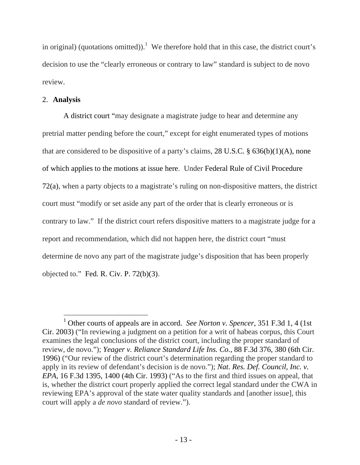in original) (quotations omitted)).<sup>1</sup> We therefore hold that in this case, the district court's decision to use the "clearly erroneous or contrary to law" standard is subject to de novo review.

# 2. **Analysis**

 $\overline{a}$ 

A district court "may designate a magistrate judge to hear and determine any pretrial matter pending before the court," except for eight enumerated types of motions that are considered to be dispositive of a party's claims,  $28 \text{ U.S.C.}$  §  $636(b)(1)(A)$ , none of which applies to the motions at issue here. Under Federal Rule of Civil Procedure 72(a), when a party objects to a magistrate's ruling on non-dispositive matters, the district court must "modify or set aside any part of the order that is clearly erroneous or is contrary to law." If the district court refers dispositive matters to a magistrate judge for a report and recommendation, which did not happen here, the district court "must determine de novo any part of the magistrate judge's disposition that has been properly objected to." Fed. R. Civ. P.  $72(b)(3)$ .

<sup>&</sup>lt;sup>1</sup> Other courts of appeals are in accord. *See Norton v. Spencer*, 351 F.3d 1, 4 (1st) Cir. 2003) ("In reviewing a judgment on a petition for a writ of habeas corpus, this Court examines the legal conclusions of the district court, including the proper standard of review, de novo."); *Yeager v. Reliance Standard Life Ins. Co.*, 88 F.3d 376, 380 (6th Cir. 1996) ("Our review of the district court's determination regarding the proper standard to apply in its review of defendant's decision is de novo."); *Nat. Res. Def. Council, Inc. v. EPA*, 16 F.3d 1395, 1400 (4th Cir. 1993) ("As to the first and third issues on appeal, that is, whether the district court properly applied the correct legal standard under the CWA in reviewing EPA's approval of the state water quality standards and [another issue], this court will apply a *de novo* standard of review.").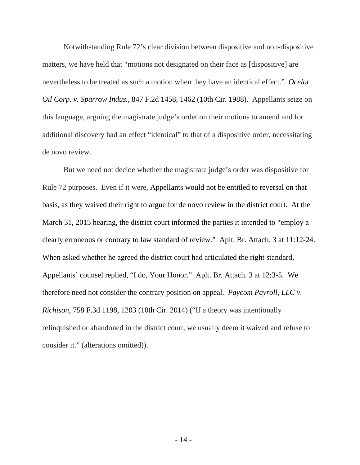Notwithstanding Rule 72's clear division between dispositive and non-dispositive matters, we have held that "motions not designated on their face as [dispositive] are nevertheless to be treated as such a motion when they have an identical effect." *Ocelot Oil Corp. v. Sparrow Indus.*, 847 F.2d 1458, 1462 (10th Cir. 1988). Appellants seize on this language, arguing the magistrate judge's order on their motions to amend and for additional discovery had an effect "identical" to that of a dispositive order, necessitating de novo review.

But we need not decide whether the magistrate judge's order was dispositive for Rule 72 purposes. Even if it were, Appellants would not be entitled to reversal on that basis, as they waived their right to argue for de novo review in the district court. At the March 31, 2015 hearing, the district court informed the parties it intended to "employ a clearly erroneous or contrary to law standard of review." Aplt. Br. Attach. 3 at 11:12-24. When asked whether he agreed the district court had articulated the right standard, Appellants' counsel replied, "I do, Your Honor." Aplt. Br. Attach. 3 at 12:3-5. We therefore need not consider the contrary position on appeal. *Paycom Payroll, LLC v. Richison*, 758 F.3d 1198, 1203 (10th Cir. 2014) ("If a theory was intentionally relinquished or abandoned in the district court, we usually deem it waived and refuse to consider it." (alterations omitted)).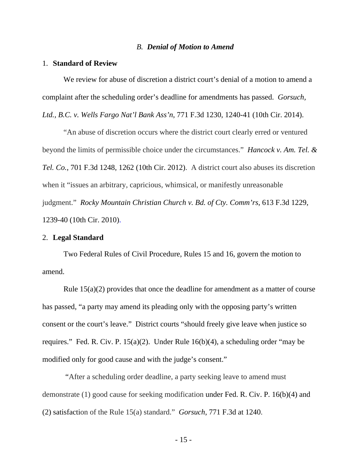#### *B. Denial of Motion to Amend*

#### 1. **Standard of Review**

We review for abuse of discretion a district court's denial of a motion to amend a complaint after the scheduling order's deadline for amendments has passed. *Gorsuch, Ltd., B.C. v. Wells Fargo Nat'l Bank Ass'n*, 771 F.3d 1230, 1240-41 (10th Cir. 2014).

"An abuse of discretion occurs where the district court clearly erred or ventured beyond the limits of permissible choice under the circumstances." *Hancock v. Am. Tel. & Tel. Co.*, 701 F.3d 1248, 1262 (10th Cir. 2012). A district court also abuses its discretion when it "issues an arbitrary, capricious, whimsical, or manifestly unreasonable judgment." *Rocky Mountain Christian Church v. Bd. of Cty. Comm'rs*, 613 F.3d 1229, 1239-40 (10th Cir. 2010).

#### 2. **Legal Standard**

Two Federal Rules of Civil Procedure, Rules 15 and 16, govern the motion to amend.

Rule 15(a)(2) provides that once the deadline for amendment as a matter of course has passed, "a party may amend its pleading only with the opposing party's written consent or the court's leave." District courts "should freely give leave when justice so requires." Fed. R. Civ. P. 15(a)(2). Under Rule 16(b)(4), a scheduling order "may be modified only for good cause and with the judge's consent."

 "After a scheduling order deadline, a party seeking leave to amend must demonstrate (1) good cause for seeking modification under Fed. R. Civ. P. 16(b)(4) and (2) satisfaction of the Rule 15(a) standard." *Gorsuch*, 771 F.3d at 1240.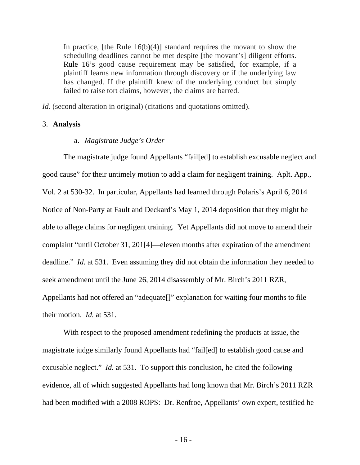In practice, [the Rule  $16(b)(4)$ ] standard requires the movant to show the scheduling deadlines cannot be met despite [the movant's] diligent efforts. Rule 16's good cause requirement may be satisfied, for example, if a plaintiff learns new information through discovery or if the underlying law has changed. If the plaintiff knew of the underlying conduct but simply failed to raise tort claims, however, the claims are barred.

*Id.* (second alteration in original) (citations and quotations omitted).

## 3. **Analysis**

### a. *Magistrate Judge's Order*

The magistrate judge found Appellants "fail[ed] to establish excusable neglect and good cause" for their untimely motion to add a claim for negligent training. Aplt. App., Vol. 2 at 530-32. In particular, Appellants had learned through Polaris's April 6, 2014 Notice of Non-Party at Fault and Deckard's May 1, 2014 deposition that they might be able to allege claims for negligent training. Yet Appellants did not move to amend their complaint "until October 31, 201[4]—eleven months after expiration of the amendment deadline." *Id.* at 531. Even assuming they did not obtain the information they needed to seek amendment until the June 26, 2014 disassembly of Mr. Birch's 2011 RZR, Appellants had not offered an "adequate[]" explanation for waiting four months to file their motion. *Id.* at 531.

With respect to the proposed amendment redefining the products at issue, the magistrate judge similarly found Appellants had "fail[ed] to establish good cause and excusable neglect." *Id.* at 531. To support this conclusion, he cited the following evidence, all of which suggested Appellants had long known that Mr. Birch's 2011 RZR had been modified with a 2008 ROPS: Dr. Renfroe, Appellants' own expert, testified he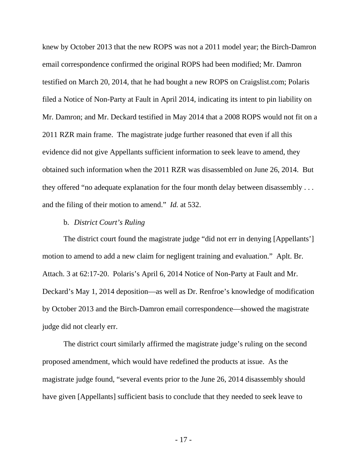knew by October 2013 that the new ROPS was not a 2011 model year; the Birch-Damron email correspondence confirmed the original ROPS had been modified; Mr. Damron testified on March 20, 2014, that he had bought a new ROPS on Craigslist.com; Polaris filed a Notice of Non-Party at Fault in April 2014, indicating its intent to pin liability on Mr. Damron; and Mr. Deckard testified in May 2014 that a 2008 ROPS would not fit on a 2011 RZR main frame. The magistrate judge further reasoned that even if all this evidence did not give Appellants sufficient information to seek leave to amend, they obtained such information when the 2011 RZR was disassembled on June 26, 2014. But they offered "no adequate explanation for the four month delay between disassembly . . . and the filing of their motion to amend." *Id.* at 532.

## b. *District Court's Ruling*

The district court found the magistrate judge "did not err in denying [Appellants'] motion to amend to add a new claim for negligent training and evaluation." Aplt. Br. Attach. 3 at 62:17-20. Polaris's April 6, 2014 Notice of Non-Party at Fault and Mr. Deckard's May 1, 2014 deposition—as well as Dr. Renfroe's knowledge of modification by October 2013 and the Birch-Damron email correspondence—showed the magistrate judge did not clearly err.

The district court similarly affirmed the magistrate judge's ruling on the second proposed amendment, which would have redefined the products at issue. As the magistrate judge found, "several events prior to the June 26, 2014 disassembly should have given [Appellants] sufficient basis to conclude that they needed to seek leave to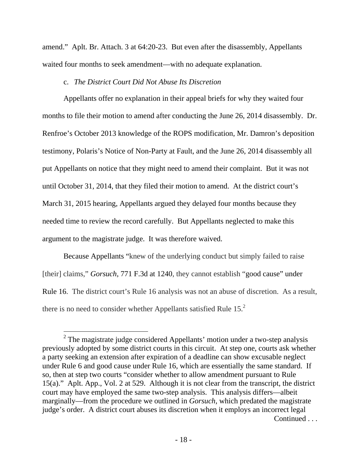amend." Aplt. Br. Attach. 3 at 64:20-23. But even after the disassembly, Appellants waited four months to seek amendment—with no adequate explanation.

# c. *The District Court Did Not Abuse Its Discretion*

Appellants offer no explanation in their appeal briefs for why they waited four months to file their motion to amend after conducting the June 26, 2014 disassembly. Dr. Renfroe's October 2013 knowledge of the ROPS modification, Mr. Damron's deposition testimony, Polaris's Notice of Non-Party at Fault, and the June 26, 2014 disassembly all put Appellants on notice that they might need to amend their complaint. But it was not until October 31, 2014, that they filed their motion to amend. At the district court's March 31, 2015 hearing, Appellants argued they delayed four months because they needed time to review the record carefully. But Appellants neglected to make this argument to the magistrate judge. It was therefore waived.

Because Appellants "knew of the underlying conduct but simply failed to raise [their] claims," *Gorsuch*, 771 F.3d at 1240, they cannot establish "good cause" under Rule 16. The district court's Rule 16 analysis was not an abuse of discretion. As a result, there is no need to consider whether Appellants satisfied Rule  $15<sup>2</sup>$ 

 $\overline{a}$ 

 $2$  The magistrate judge considered Appellants' motion under a two-step analysis previously adopted by some district courts in this circuit. At step one, courts ask whether a party seeking an extension after expiration of a deadline can show excusable neglect under Rule 6 and good cause under Rule 16, which are essentially the same standard. If so, then at step two courts "consider whether to allow amendment pursuant to Rule 15(a)." Aplt. App., Vol. 2 at 529. Although it is not clear from the transcript, the district court may have employed the same two-step analysis. This analysis differs—albeit marginally—from the procedure we outlined in *Gorsuch*, which predated the magistrate judge's order. A district court abuses its discretion when it employs an incorrect legal Continued . . .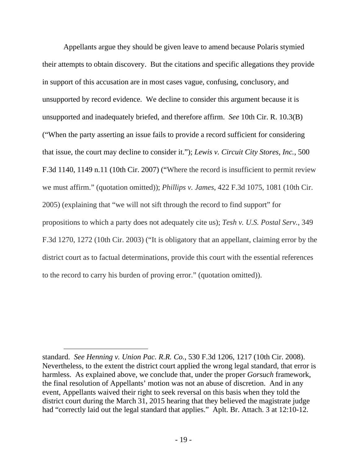Appellants argue they should be given leave to amend because Polaris stymied their attempts to obtain discovery. But the citations and specific allegations they provide in support of this accusation are in most cases vague, confusing, conclusory, and unsupported by record evidence. We decline to consider this argument because it is unsupported and inadequately briefed, and therefore affirm. *See* 10th Cir. R. 10.3(B) ("When the party asserting an issue fails to provide a record sufficient for considering that issue, the court may decline to consider it."); *Lewis v. Circuit City Stores, Inc.*, 500 F.3d 1140, 1149 n.11 (10th Cir. 2007) ("Where the record is insufficient to permit review we must affirm." (quotation omitted)); *Phillips v. James*, 422 F.3d 1075, 1081 (10th Cir. 2005) (explaining that "we will not sift through the record to find support" for propositions to which a party does not adequately cite us); *Tesh v. U.S. Postal Serv.*, 349 F.3d 1270, 1272 (10th Cir. 2003) ("It is obligatory that an appellant, claiming error by the district court as to factual determinations, provide this court with the essential references to the record to carry his burden of proving error." (quotation omitted)).

standard. *See Henning v. Union Pac. R.R. Co.*, 530 F.3d 1206, 1217 (10th Cir. 2008). Nevertheless, to the extent the district court applied the wrong legal standard, that error is harmless. As explained above, we conclude that, under the proper *Gorsuch* framework, the final resolution of Appellants' motion was not an abuse of discretion. And in any event, Appellants waived their right to seek reversal on this basis when they told the district court during the March 31, 2015 hearing that they believed the magistrate judge had "correctly laid out the legal standard that applies." Aplt. Br. Attach. 3 at 12:10-12.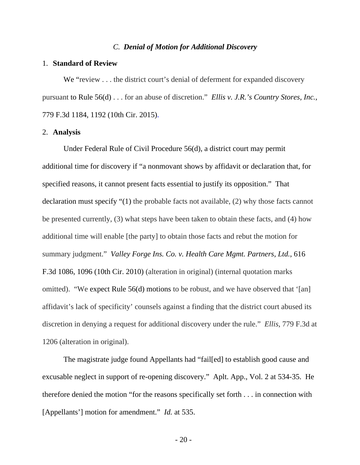#### *C. Denial of Motion for Additional Discovery*

#### 1. **Standard of Review**

We "review . . . the district court's denial of deferment for expanded discovery pursuant to Rule 56(d) . . . for an abuse of discretion." *Ellis v. J.R.'s Country Stores, Inc.*, 779 F.3d 1184, 1192 (10th Cir. 2015).

#### 2. **Analysis**

Under Federal Rule of Civil Procedure 56(d), a district court may permit additional time for discovery if "a nonmovant shows by affidavit or declaration that, for specified reasons, it cannot present facts essential to justify its opposition." That declaration must specify "(1) the probable facts not available, (2) why those facts cannot be presented currently, (3) what steps have been taken to obtain these facts, and (4) how additional time will enable [the party] to obtain those facts and rebut the motion for summary judgment." *Valley Forge Ins. Co. v. Health Care Mgmt. Partners, Ltd.*, 616 F.3d 1086, 1096 (10th Cir. 2010) (alteration in original) (internal quotation marks omitted). "We expect Rule 56(d) motions to be robust, and we have observed that '[an] affidavit's lack of specificity' counsels against a finding that the district court abused its discretion in denying a request for additional discovery under the rule." *Ellis*, 779 F.3d at 1206 (alteration in original).

The magistrate judge found Appellants had "fail[ed] to establish good cause and excusable neglect in support of re-opening discovery." Aplt. App., Vol. 2 at 534-35. He therefore denied the motion "for the reasons specifically set forth . . . in connection with [Appellants'] motion for amendment." *Id.* at 535.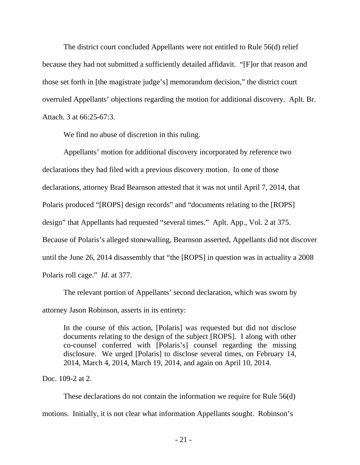The district court concluded Appellants were not entitled to Rule 56(d) relief because they had not submitted a sufficiently detailed affidavit. "[F]or that reason and those set forth in [the magistrate judge's] memorandum decision," the district court overruled Appellants' objections regarding the motion for additional discovery. Aplt. Br. Attach. 3 at 66:25-67:3.

We find no abuse of discretion in this ruling.

Appellants' motion for additional discovery incorporated by reference two declarations they had filed with a previous discovery motion. In one of those declarations, attorney Brad Bearnson attested that it was not until April 7, 2014, that Polaris produced "[ROPS] design records" and "documents relating to the [ROPS] design" that Appellants had requested "several times." Aplt. App., Vol. 2 at 375. Because of Polaris's alleged stonewalling, Bearnson asserted, Appellants did not discover until the June 26, 2014 disassembly that "the [ROPS] in question was in actuality a 2008 Polaris roll cage." *Id.* at 377.

The relevant portion of Appellants' second declaration, which was sworn by attorney Jason Robinson, asserts in its entirety:

In the course of this action, [Polaris] was requested but did not disclose documents relating to the design of the subject [ROPS]. I along with other co-counsel conferred with [Polaris's] counsel regarding the missing disclosure. We urged [Polaris] to disclose several times, on February 14, 2014, March 4, 2014, March 19, 2014, and again on April 10, 2014.

Doc. 109-2 at 2.

These declarations do not contain the information we require for Rule 56(d) motions. Initially, it is not clear what information Appellants sought. Robinson's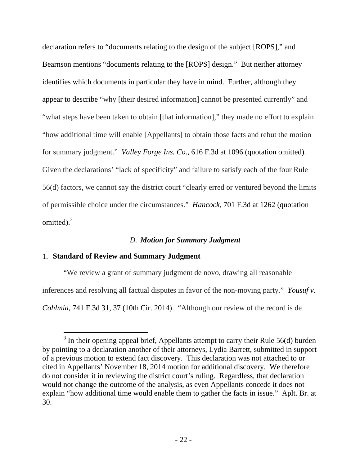declaration refers to "documents relating to the design of the subject [ROPS]," and Bearnson mentions "documents relating to the [ROPS] design." But neither attorney identifies which documents in particular they have in mind. Further, although they appear to describe "why [their desired information] cannot be presented currently" and "what steps have been taken to obtain [that information]," they made no effort to explain "how additional time will enable [Appellants] to obtain those facts and rebut the motion for summary judgment." *Valley Forge Ins. Co.*, 616 F.3d at 1096 (quotation omitted). Given the declarations' "lack of specificity" and failure to satisfy each of the four Rule 56(d) factors, we cannot say the district court "clearly erred or ventured beyond the limits of permissible choice under the circumstances." *Hancock*, 701 F.3d at 1262 (quotation omitted).<sup>3</sup>

# *D. Motion for Summary Judgment*

# 1. **Standard of Review and Summary Judgment**

 $\overline{a}$ 

"We review a grant of summary judgment de novo, drawing all reasonable inferences and resolving all factual disputes in favor of the non-moving party." *Yousuf v. Cohlmia*, 741 F.3d 31, 37 (10th Cir. 2014). "Although our review of the record is de

 $3$  In their opening appeal brief, Appellants attempt to carry their Rule 56(d) burden by pointing to a declaration another of their attorneys, Lydia Barrett, submitted in support of a previous motion to extend fact discovery. This declaration was not attached to or cited in Appellants' November 18, 2014 motion for additional discovery. We therefore do not consider it in reviewing the district court's ruling. Regardless, that declaration would not change the outcome of the analysis, as even Appellants concede it does not explain "how additional time would enable them to gather the facts in issue." Aplt. Br. at 30.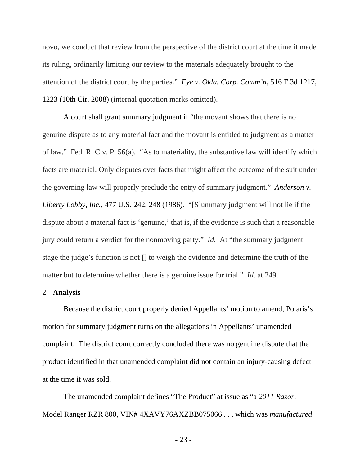novo, we conduct that review from the perspective of the district court at the time it made its ruling, ordinarily limiting our review to the materials adequately brought to the attention of the district court by the parties." *Fye v. Okla. Corp. Comm'n*, 516 F.3d 1217, 1223 (10th Cir. 2008) (internal quotation marks omitted).

A court shall grant summary judgment if "the movant shows that there is no genuine dispute as to any material fact and the movant is entitled to judgment as a matter of law." Fed. R. Civ. P. 56(a). "As to materiality, the substantive law will identify which facts are material. Only disputes over facts that might affect the outcome of the suit under the governing law will properly preclude the entry of summary judgment." *Anderson v. Liberty Lobby, Inc.*, 477 U.S. 242, 248 (1986). "[S]ummary judgment will not lie if the dispute about a material fact is 'genuine,' that is, if the evidence is such that a reasonable jury could return a verdict for the nonmoving party." *Id.* At "the summary judgment stage the judge's function is not [] to weigh the evidence and determine the truth of the matter but to determine whether there is a genuine issue for trial." *Id.* at 249.

### 2. **Analysis**

Because the district court properly denied Appellants' motion to amend, Polaris's motion for summary judgment turns on the allegations in Appellants' unamended complaint. The district court correctly concluded there was no genuine dispute that the product identified in that unamended complaint did not contain an injury-causing defect at the time it was sold.

The unamended complaint defines "The Product" at issue as "a *2011 Razor*, Model Ranger RZR 800, VIN# 4XAVY76AXZBB075066 . . . which was *manufactured* 

- 23 -